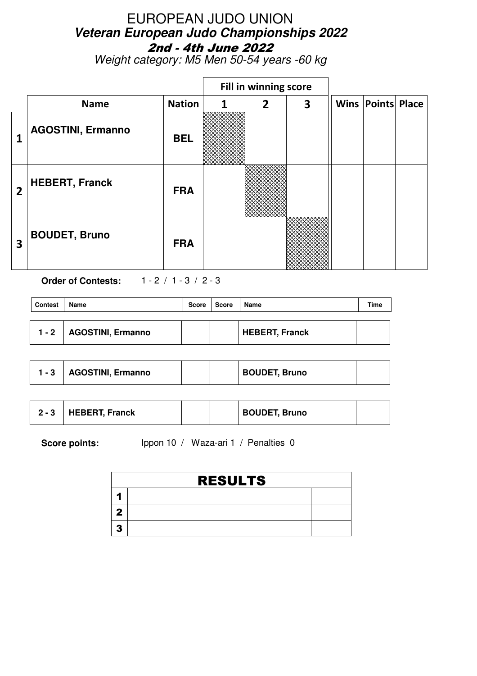Weight category: M5 Men 50-54 years -60 kg

|                         |                          |               |   | Fill in winning score |                         |                          |  |
|-------------------------|--------------------------|---------------|---|-----------------------|-------------------------|--------------------------|--|
|                         | <b>Name</b>              | <b>Nation</b> | 1 | $\overline{2}$        | $\overline{\mathbf{3}}$ | <b>Wins Points Place</b> |  |
|                         | <b>AGOSTINI, Ermanno</b> | <b>BEL</b>    |   |                       |                         |                          |  |
| 2                       | <b>HEBERT, Franck</b>    | <b>FRA</b>    |   |                       |                         |                          |  |
| $\overline{\mathbf{3}}$ | <b>BOUDET, Bruno</b>     | <b>FRA</b>    |   |                       |                         |                          |  |

**Order of Contests:** 1 - 2 / 1 - 3 / 2 - 3

| <b>Contest</b> | Name              | Score | Score | Name                  | Time |
|----------------|-------------------|-------|-------|-----------------------|------|
| $1 - 2$        | AGOSTINI, Ermanno |       |       | <b>HEBERT, Franck</b> |      |

|  | <b>AGOSTINI, Ermanno</b> |  |  | <b>BOUDET, Bruno</b> |  |
|--|--------------------------|--|--|----------------------|--|
|--|--------------------------|--|--|----------------------|--|

| <b>HEBERT, Franck</b><br><b>BOUDET, Bruno</b><br>$2 - 3$ |
|----------------------------------------------------------|
|----------------------------------------------------------|

| <b>RESULTS</b> |  |
|----------------|--|
|                |  |
|                |  |
|                |  |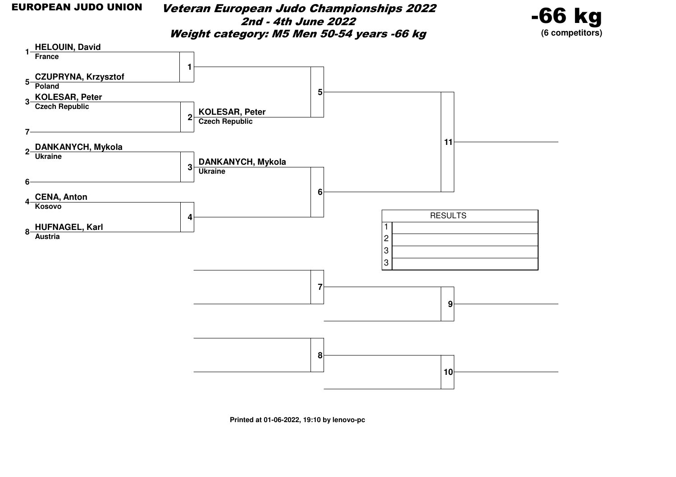Veteran European Judo Championships 20222nd - 4th June 2022Weight category: M5 Men 50-54 years -66 kg



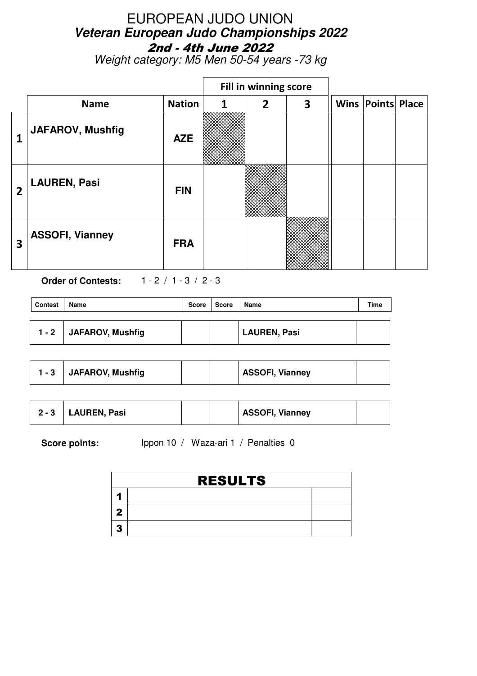Weight category: M5 Men 50-54 years -73 kg

|   |                         |               |   | Fill in winning score |                         |                          |  |
|---|-------------------------|---------------|---|-----------------------|-------------------------|--------------------------|--|
|   | <b>Name</b>             | <b>Nation</b> | 1 | $\overline{2}$        | $\overline{\mathbf{3}}$ | <b>Wins Points Place</b> |  |
| 1 | <b>JAFAROV, Mushfig</b> | <b>AZE</b>    |   |                       |                         |                          |  |
| 2 | <b>LAUREN, Pasi</b>     | <b>FIN</b>    |   |                       |                         |                          |  |
| 3 | <b>ASSOFI, Vianney</b>  | <b>FRA</b>    |   |                       |                         |                          |  |

**Order of Contests:** 1 - 2 / 1 - 3 / 2 - 3

| <b>Contest</b> | <b>Name</b>      | Score | Score | Name                | Time |
|----------------|------------------|-------|-------|---------------------|------|
| $1 - 2$        | JAFAROV, Mushfig |       |       | <b>LAUREN, Pasi</b> |      |
|                |                  |       |       |                     |      |

| $1 - 3$ | <b>JAFAROV, Mushfig</b> |  |  | <b>ASSOFI, Vianney</b> |  |
|---------|-------------------------|--|--|------------------------|--|
|---------|-------------------------|--|--|------------------------|--|

| $2 - 3$ | LAUREN, Pasi |  |  | <b>ASSOFI, Vianney</b> |  |
|---------|--------------|--|--|------------------------|--|
|---------|--------------|--|--|------------------------|--|

| <b>RESULTS</b> |  |
|----------------|--|
|                |  |
|                |  |
|                |  |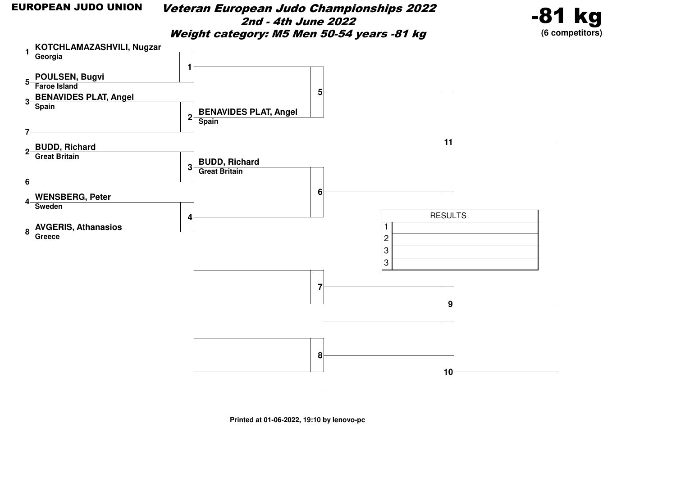#### EUROPEAN JUDO UNION

 Veteran European Judo Championships 20222nd - 4th June 2022Weight category: M5 Men 50-54 years -81 kg



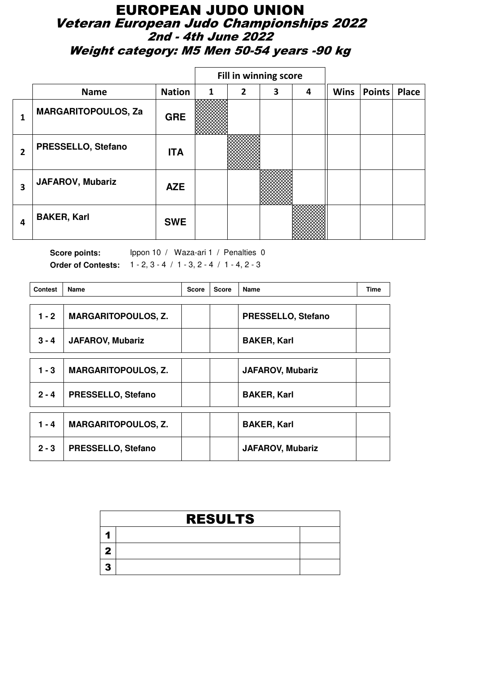#### EUROPEAN JUDO UNION Veteran European Judo Championships 2022 2nd - 4th June 2022 Weight category: M5 Men 50-54 years -90 kg

|   |                            |               |              | Fill in winning score |   |   |             |        |              |
|---|----------------------------|---------------|--------------|-----------------------|---|---|-------------|--------|--------------|
|   | <b>Name</b>                | <b>Nation</b> | $\mathbf{1}$ | $\mathbf{2}$          | 3 | 4 | <b>Wins</b> | Points | <b>Place</b> |
| 1 | <b>MARGARITOPOULOS, Za</b> | <b>GRE</b>    |              |                       |   |   |             |        |              |
| 2 | PRESSELLO, Stefano         | <b>ITA</b>    |              |                       |   |   |             |        |              |
| 3 | <b>JAFAROV, Mubariz</b>    | <b>AZE</b>    |              |                       |   |   |             |        |              |
| 4 | <b>BAKER, Karl</b>         | <b>SWE</b>    |              |                       |   |   |             |        |              |

Score points: Ippon 10 / Waza-ari 1 / Penalties 0 **Order of Contests:** 1 - 2, 3 - 4 / 1 - 3, 2 - 4 / 1 - 4, 2 - 3

| <b>Contest</b> | Name                       | <b>Score</b> | <b>Score</b> | Name                    | <b>Time</b> |
|----------------|----------------------------|--------------|--------------|-------------------------|-------------|
| $1 - 2$        | <b>MARGARITOPOULOS, Z.</b> |              |              | PRESSELLO, Stefano      |             |
| $3 - 4$        | <b>JAFAROV, Mubariz</b>    |              |              | <b>BAKER, Karl</b>      |             |
| $1 - 3$        | <b>MARGARITOPOULOS, Z.</b> |              |              | <b>JAFAROV, Mubariz</b> |             |
| $2 - 4$        | <b>PRESSELLO, Stefano</b>  |              |              | <b>BAKER, Karl</b>      |             |
| $1 - 4$        | <b>MARGARITOPOULOS, Z.</b> |              |              | <b>BAKER, Karl</b>      |             |
| $2 - 3$        | <b>PRESSELLO, Stefano</b>  |              |              | <b>JAFAROV, Mubariz</b> |             |

| <b>RESULTS</b> |  |  |  |  |  |  |  |
|----------------|--|--|--|--|--|--|--|
|                |  |  |  |  |  |  |  |
|                |  |  |  |  |  |  |  |
|                |  |  |  |  |  |  |  |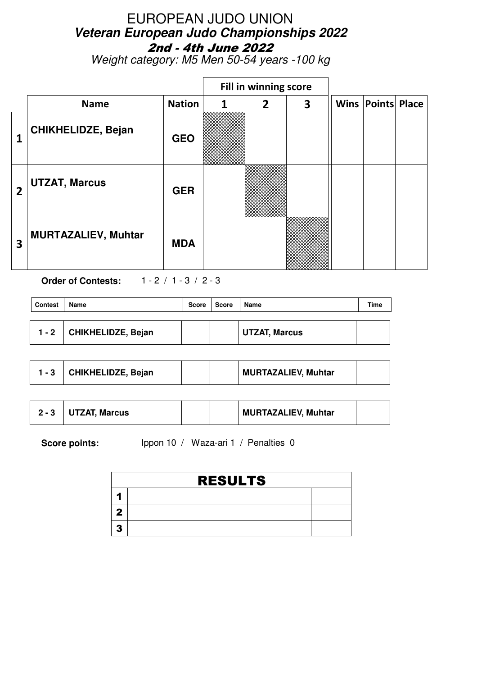Weight category: M5 Men 50-54 years -100 kg

|                |                            |               |   | Fill in winning score |   |                          |  |
|----------------|----------------------------|---------------|---|-----------------------|---|--------------------------|--|
|                | <b>Name</b>                | <b>Nation</b> | 1 | $\overline{2}$        | 3 | <b>Wins Points Place</b> |  |
|                | <b>CHIKHELIDZE, Bejan</b>  | <b>GEO</b>    |   |                       |   |                          |  |
| $\overline{2}$ | <b>UTZAT, Marcus</b>       | <b>GER</b>    |   |                       |   |                          |  |
| 3              | <b>MURTAZALIEV, Muhtar</b> | <b>MDA</b>    |   |                       |   |                          |  |

**Order of Contests:** 1 - 2 / 1 - 3 / 2 - 3

| Contest | Name               | Score | Score | Name                 | Time |
|---------|--------------------|-------|-------|----------------------|------|
|         |                    |       |       |                      |      |
| $1 - 2$ | CHIKHELIDZE, Bejan |       |       | <b>UTZAT, Marcus</b> |      |

|  | CHIKHELIDZE, Bejan |  |  | <b>MURTAZALIEV, Muhtar</b> |  |
|--|--------------------|--|--|----------------------------|--|
|--|--------------------|--|--|----------------------------|--|

|  | <b>UTZAT, Marcus</b> |  |  | <b>MURTAZALIEV, Muhtar</b> |  |
|--|----------------------|--|--|----------------------------|--|
|--|----------------------|--|--|----------------------------|--|

| <b>RESULTS</b> |  |  |  |  |  |  |  |
|----------------|--|--|--|--|--|--|--|
|                |  |  |  |  |  |  |  |
|                |  |  |  |  |  |  |  |
|                |  |  |  |  |  |  |  |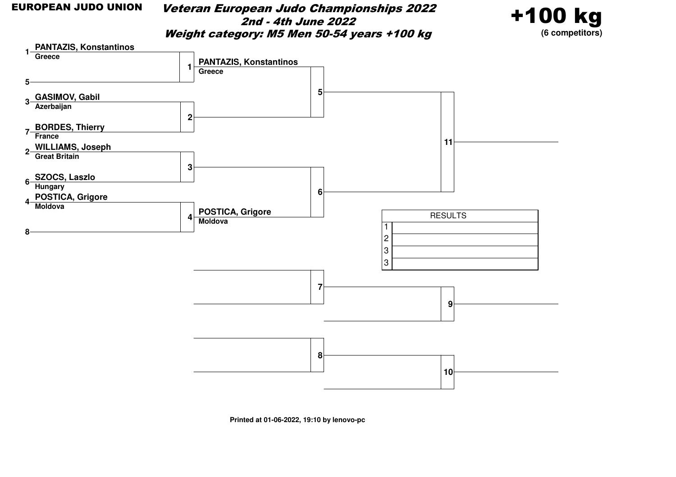Veteran European Judo Championships 20222nd - 4th June 2022Weight category: M5 Men 50-54 years +100 kg



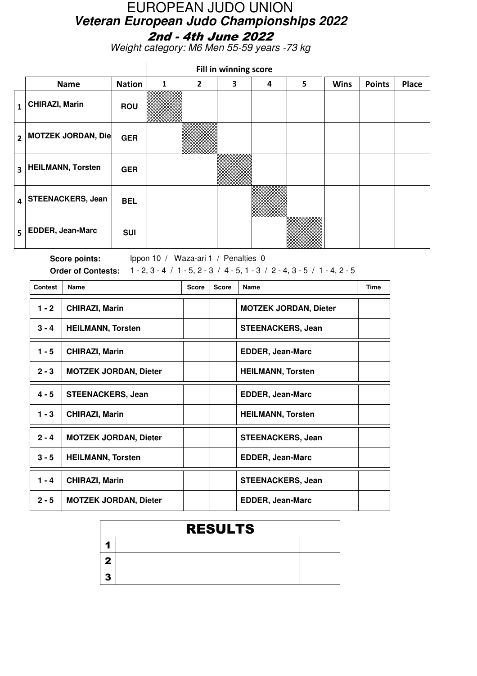Weight category: M6 Men 55-59 years -73 kg

|                         |                           |               | Fill in winning score |                |   |   |   |             |               |              |
|-------------------------|---------------------------|---------------|-----------------------|----------------|---|---|---|-------------|---------------|--------------|
|                         | <b>Name</b>               | <b>Nation</b> | 1                     | $\overline{2}$ | 3 | 4 | 5 | <b>Wins</b> | <b>Points</b> | <b>Place</b> |
| 1                       | <b>CHIRAZI, Marin</b>     | <b>ROU</b>    |                       |                |   |   |   |             |               |              |
| $\overline{2}$          | <b>MOTZEK JORDAN, Die</b> | <b>GER</b>    |                       |                |   |   |   |             |               |              |
| $\overline{\mathbf{3}}$ | <b>HEILMANN, Torsten</b>  | <b>GER</b>    |                       |                |   |   |   |             |               |              |
| $\overline{\mathbf{4}}$ | <b>STEENACKERS, Jean</b>  | <b>BEL</b>    |                       |                |   |   |   |             |               |              |
| 5                       | EDDER, Jean-Marc          | <b>SUI</b>    |                       |                |   |   |   |             |               |              |

Score points: Ippon 10 / Waza-ari 1 / Penalties 0 **Order of Contests:** 1 - 2, 3 - 4 / 1 - 5, 2 - 3 / 4 - 5, 1 - 3 / 2 - 4, 3 - 5 / 1 - 4, 2 - 5

| <b>Contest</b> | Name                         | <b>Score</b> | <b>Score</b> | <b>Name</b>                  | <b>Time</b> |
|----------------|------------------------------|--------------|--------------|------------------------------|-------------|
| $1 - 2$        | <b>CHIRAZI, Marin</b>        |              |              | <b>MOTZEK JORDAN, Dieter</b> |             |
| $3 - 4$        | <b>HEILMANN, Torsten</b>     |              |              | <b>STEENACKERS, Jean</b>     |             |
| $1 - 5$        | <b>CHIRAZI, Marin</b>        |              |              | <b>EDDER, Jean-Marc</b>      |             |
| $2 - 3$        | <b>MOTZEK JORDAN, Dieter</b> |              |              | <b>HEILMANN, Torsten</b>     |             |
| $4 - 5$        | <b>STEENACKERS, Jean</b>     |              |              | <b>EDDER, Jean-Marc</b>      |             |
| $1 - 3$        | <b>CHIRAZI, Marin</b>        |              |              | <b>HEILMANN, Torsten</b>     |             |
| $2 - 4$        | <b>MOTZEK JORDAN, Dieter</b> |              |              | <b>STEENACKERS, Jean</b>     |             |
| $3 - 5$        | <b>HEILMANN, Torsten</b>     |              |              | <b>EDDER, Jean-Marc</b>      |             |
| $1 - 4$        | <b>CHIRAZI, Marin</b>        |              |              | <b>STEENACKERS, Jean</b>     |             |
| $2 - 5$        | <b>MOTZEK JORDAN, Dieter</b> |              |              | <b>EDDER, Jean-Marc</b>      |             |

|    | <b>RESULTS</b> |  |  |  |  |  |  |  |  |
|----|----------------|--|--|--|--|--|--|--|--|
|    |                |  |  |  |  |  |  |  |  |
|    |                |  |  |  |  |  |  |  |  |
| -7 |                |  |  |  |  |  |  |  |  |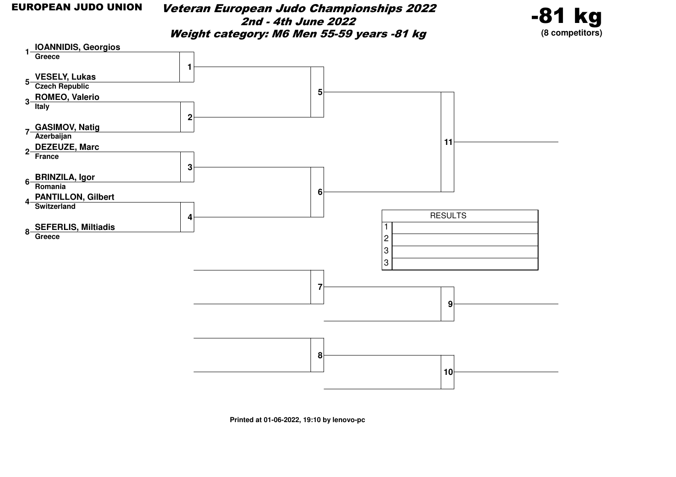Veteran European Judo Championships 20222nd - 4th June 2022Weight category: M6 Men 55-59 years -81 kg



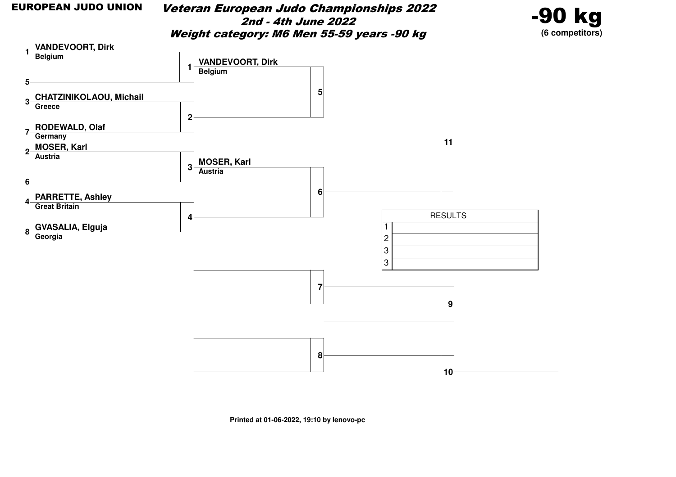Veteran European Judo Championships 20222nd - 4th June 2022Weight category: M6 Men 55-59 years -90 kg



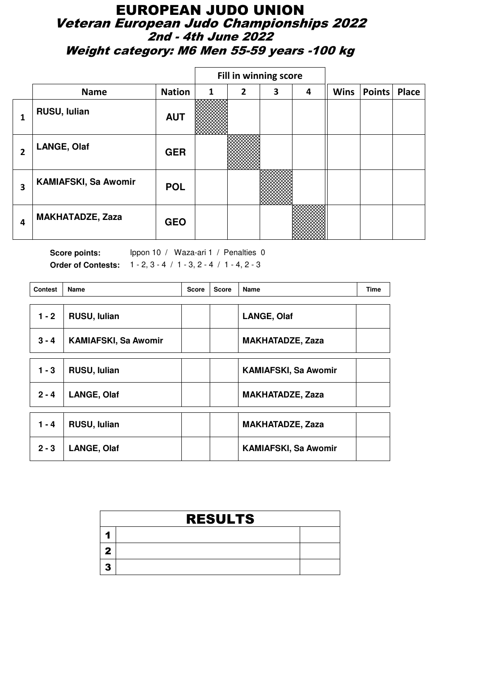#### EUROPEAN JUDO UNION Veteran European Judo Championships 2022 2nd - 4th June 2022 Weight category: M6 Men 55-59 years -100 kg

|   |                             |               |              |                | Fill in winning score |   |             |        |       |
|---|-----------------------------|---------------|--------------|----------------|-----------------------|---|-------------|--------|-------|
|   | <b>Name</b>                 | <b>Nation</b> | $\mathbf{1}$ | $\overline{2}$ | 3                     | 4 | <b>Wins</b> | Points | Place |
| 1 | RUSU, Iulian                | <b>AUT</b>    |              |                |                       |   |             |        |       |
| 2 | <b>LANGE, Olaf</b>          | <b>GER</b>    |              |                |                       |   |             |        |       |
| 3 | <b>KAMIAFSKI, Sa Awomir</b> | <b>POL</b>    |              |                |                       |   |             |        |       |
| 4 | <b>MAKHATADZE, Zaza</b>     | <b>GEO</b>    |              |                |                       |   |             |        |       |

Score points: Ippon 10 / Waza-ari 1 / Penalties 0 **Order of Contests:** 1 - 2, 3 - 4 / 1 - 3, 2 - 4 / 1 - 4, 2 - 3

| <b>Contest</b> | <b>Name</b>                 | <b>Score</b> | <b>Score</b> | Name                        | <b>Time</b> |
|----------------|-----------------------------|--------------|--------------|-----------------------------|-------------|
| $1 - 2$        | RUSU, lulian                |              |              | <b>LANGE, Olaf</b>          |             |
| $3 - 4$        | <b>KAMIAFSKI, Sa Awomir</b> |              |              | <b>MAKHATADZE, Zaza</b>     |             |
| $1 - 3$        | <b>RUSU, lulian</b>         |              |              | <b>KAMIAFSKI, Sa Awomir</b> |             |
| $2 - 4$        | <b>LANGE, Olaf</b>          |              |              | <b>MAKHATADZE, Zaza</b>     |             |
| $1 - 4$        | <b>RUSU, lulian</b>         |              |              | <b>MAKHATADZE, Zaza</b>     |             |
| $2 - 3$        | <b>LANGE, Olaf</b>          |              |              | <b>KAMIAFSKI, Sa Awomir</b> |             |

| <b>RESULTS</b> |  |  |  |  |  |  |  |
|----------------|--|--|--|--|--|--|--|
|                |  |  |  |  |  |  |  |
|                |  |  |  |  |  |  |  |
|                |  |  |  |  |  |  |  |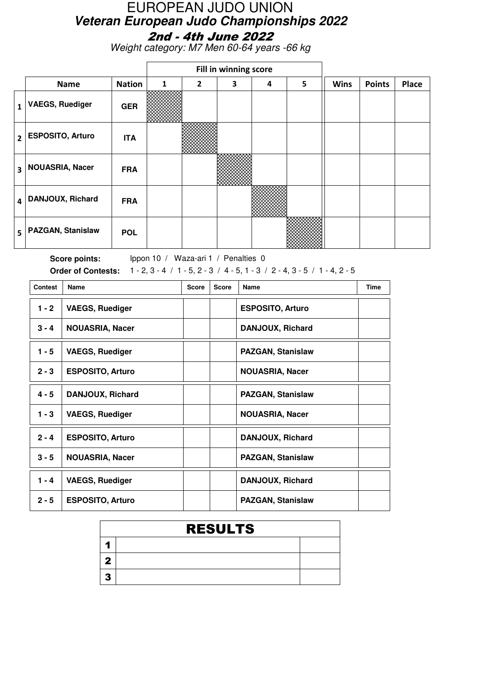Weight category: M7 Men 60-64 years -66 kg

|                         |                          |               |   | Fill in winning score |   |   |   |             |               |       |
|-------------------------|--------------------------|---------------|---|-----------------------|---|---|---|-------------|---------------|-------|
|                         | <b>Name</b>              | <b>Nation</b> | 1 | $\overline{2}$        | 3 | 4 | 5 | <b>Wins</b> | <b>Points</b> | Place |
| $\mathbf{1}$            | <b>VAEGS, Ruediger</b>   | <b>GER</b>    |   |                       |   |   |   |             |               |       |
| $\overline{2}$          | <b>ESPOSITO, Arturo</b>  | <b>ITA</b>    |   |                       |   |   |   |             |               |       |
| $\overline{\mathbf{3}}$ | <b>NOUASRIA, Nacer</b>   | <b>FRA</b>    |   |                       |   |   |   |             |               |       |
| 4                       | <b>DANJOUX, Richard</b>  | <b>FRA</b>    |   |                       |   |   |   |             |               |       |
| 5                       | <b>PAZGAN, Stanislaw</b> | <b>POL</b>    |   |                       |   |   |   |             |               |       |

Score points: Ippon 10 / Waza-ari 1 / Penalties 0 **Order of Contests:** 1 - 2, 3 - 4 / 1 - 5, 2 - 3 / 4 - 5, 1 - 3 / 2 - 4, 3 - 5 / 1 - 4, 2 - 5

| <b>Contest</b> | Name                    | <b>Score</b> | <b>Score</b> | Name                     | <b>Time</b> |
|----------------|-------------------------|--------------|--------------|--------------------------|-------------|
| $1 - 2$        | <b>VAEGS, Ruediger</b>  |              |              | <b>ESPOSITO, Arturo</b>  |             |
| $3 - 4$        | <b>NOUASRIA, Nacer</b>  |              |              | <b>DANJOUX, Richard</b>  |             |
| $1 - 5$        | <b>VAEGS, Ruediger</b>  |              |              | <b>PAZGAN, Stanislaw</b> |             |
| $2 - 3$        | <b>ESPOSITO, Arturo</b> |              |              | <b>NOUASRIA, Nacer</b>   |             |
| $4 - 5$        | <b>DANJOUX, Richard</b> |              |              | <b>PAZGAN, Stanislaw</b> |             |
| $1 - 3$        | <b>VAEGS, Ruediger</b>  |              |              | <b>NOUASRIA, Nacer</b>   |             |
| $2 - 4$        | <b>ESPOSITO, Arturo</b> |              |              | <b>DANJOUX, Richard</b>  |             |
| $3 - 5$        | <b>NOUASRIA, Nacer</b>  |              |              | <b>PAZGAN, Stanislaw</b> |             |
| $1 - 4$        | <b>VAEGS, Ruediger</b>  |              |              | DANJOUX, Richard         |             |
| $2 - 5$        | <b>ESPOSITO, Arturo</b> |              |              | <b>PAZGAN, Stanislaw</b> |             |

| <b>RESULTS</b> |  |  |  |  |  |  |  |
|----------------|--|--|--|--|--|--|--|
|                |  |  |  |  |  |  |  |
|                |  |  |  |  |  |  |  |
|                |  |  |  |  |  |  |  |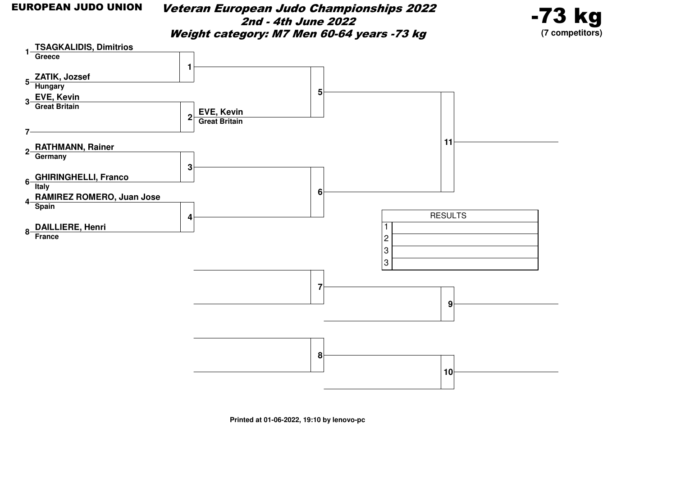Veteran European Judo Championships 20222nd - 4th June 2022Weight category: M7 Men 60-64 years -73 kg



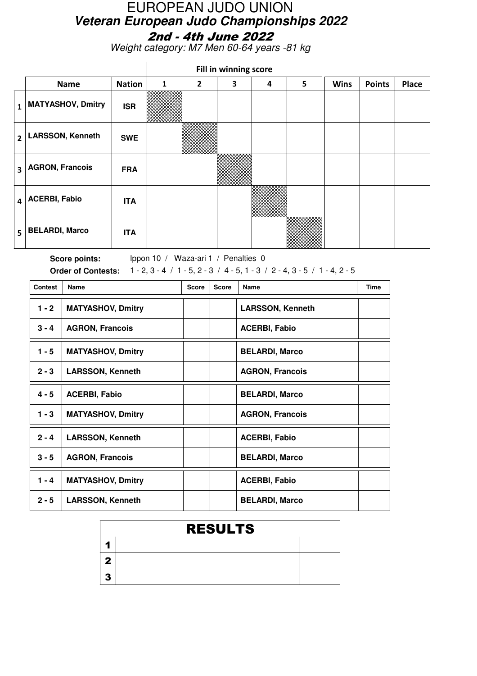Weight category: M7 Men 60-64 years -81 kg

|                         |                          |               |   | Fill in winning score |   |   |   |             |               |              |
|-------------------------|--------------------------|---------------|---|-----------------------|---|---|---|-------------|---------------|--------------|
|                         | <b>Name</b>              | <b>Nation</b> | 1 | $\overline{2}$        | 3 | 4 | 5 | <b>Wins</b> | <b>Points</b> | <b>Place</b> |
| $\mathbf{1}$            | <b>MATYASHOV, Dmitry</b> | <b>ISR</b>    |   |                       |   |   |   |             |               |              |
| $\overline{2}$          | <b>LARSSON, Kenneth</b>  | <b>SWE</b>    |   |                       |   |   |   |             |               |              |
| $\overline{\mathbf{3}}$ | <b>AGRON, Francois</b>   | <b>FRA</b>    |   |                       |   |   |   |             |               |              |
| 4                       | <b>ACERBI, Fabio</b>     | <b>ITA</b>    |   |                       |   |   |   |             |               |              |
| 5                       | <b>BELARDI, Marco</b>    | <b>ITA</b>    |   |                       |   |   |   |             |               |              |

Score points: Ippon 10 / Waza-ari 1 / Penalties 0 **Order of Contests:** 1 - 2, 3 - 4 / 1 - 5, 2 - 3 / 4 - 5, 1 - 3 / 2 - 4, 3 - 5 / 1 - 4, 2 - 5

| <b>Contest</b> | <b>Name</b>              | <b>Score</b> | <b>Score</b> | Name                    | <b>Time</b> |
|----------------|--------------------------|--------------|--------------|-------------------------|-------------|
| $1 - 2$        | <b>MATYASHOV, Dmitry</b> |              |              | <b>LARSSON, Kenneth</b> |             |
| $3 - 4$        | <b>AGRON, Francois</b>   |              |              | <b>ACERBI, Fabio</b>    |             |
| $1 - 5$        | <b>MATYASHOV, Dmitry</b> |              |              | <b>BELARDI, Marco</b>   |             |
| $2 - 3$        | <b>LARSSON, Kenneth</b>  |              |              | <b>AGRON, Francois</b>  |             |
| $4 - 5$        | <b>ACERBI, Fabio</b>     |              |              | <b>BELARDI, Marco</b>   |             |
| $1 - 3$        | <b>MATYASHOV, Dmitry</b> |              |              | <b>AGRON, Francois</b>  |             |
| $2 - 4$        | <b>LARSSON, Kenneth</b>  |              |              | <b>ACERBI, Fabio</b>    |             |
| $3 - 5$        | <b>AGRON, Francois</b>   |              |              | <b>BELARDI, Marco</b>   |             |
| $1 - 4$        | <b>MATYASHOV, Dmitry</b> |              |              | <b>ACERBI, Fabio</b>    |             |
| $2 - 5$        | <b>LARSSON, Kenneth</b>  |              |              | <b>BELARDI, Marco</b>   |             |

| <b>RESULTS</b> |  |
|----------------|--|
|                |  |
|                |  |
|                |  |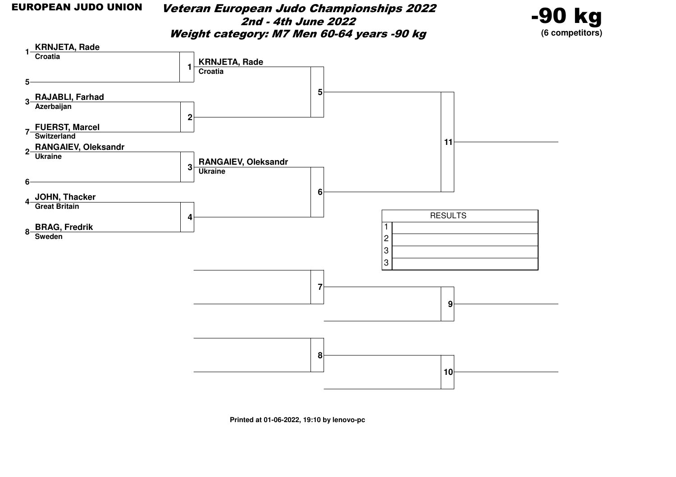Veteran European Judo Championships 20222nd - 4th June 2022Weight category: M7 Men 60-64 years -90 kg



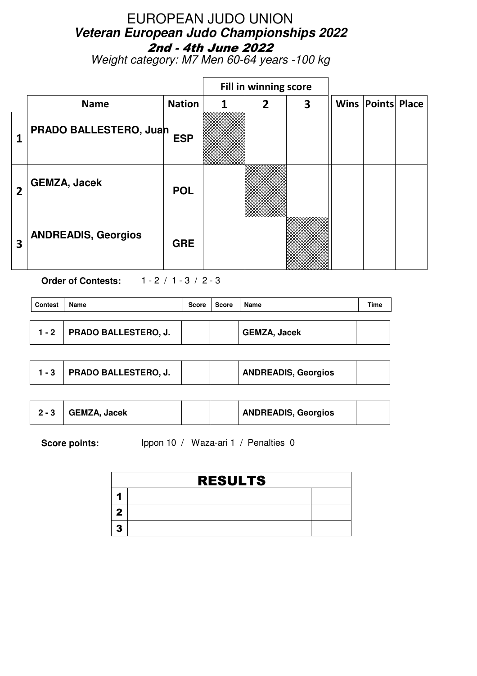Weight category: M7 Men 60-64 years -100 kg

|   |                            |               |   | Fill in winning score |   |                          |  |
|---|----------------------------|---------------|---|-----------------------|---|--------------------------|--|
|   | <b>Name</b>                | <b>Nation</b> | 1 | $\overline{2}$        | 3 | <b>Wins Points Place</b> |  |
| 1 | PRADO BALLESTERO, Juan     | <b>ESP</b>    |   |                       |   |                          |  |
| 2 | <b>GEMZA, Jacek</b>        | <b>POL</b>    |   |                       |   |                          |  |
| 3 | <b>ANDREADIS, Georgios</b> | <b>GRE</b>    |   |                       |   |                          |  |

**Order of Contests:** 1 - 2 / 1 - 3 / 2 - 3

| <b>Contest</b> | Name                         | Score | Score | Name                | Time |
|----------------|------------------------------|-------|-------|---------------------|------|
|                | 1 - 2   PRADO BALLESTERO, J. |       |       | <b>GEMZA, Jacek</b> |      |

|  | <b>PRADO BALLESTERO, J.</b> |  |  | <b>ANDREADIS, Georgios</b> |  |
|--|-----------------------------|--|--|----------------------------|--|
|--|-----------------------------|--|--|----------------------------|--|

|  | <b>GEMZA, Jacek</b> |  |  | <b>ANDREADIS, Georgios</b> |  |
|--|---------------------|--|--|----------------------------|--|
|--|---------------------|--|--|----------------------------|--|

| <b>RESULTS</b> |  |  |  |  |  |  |  |
|----------------|--|--|--|--|--|--|--|
|                |  |  |  |  |  |  |  |
|                |  |  |  |  |  |  |  |
|                |  |  |  |  |  |  |  |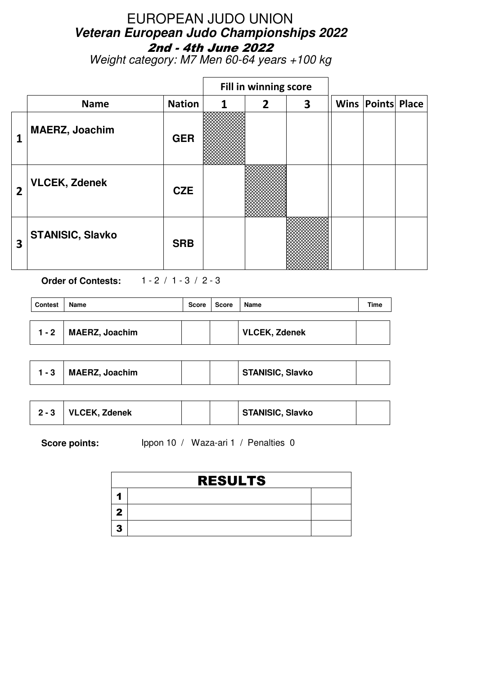Weight category: M7 Men 60-64 years +100 kg

|   |                         |               |   | Fill in winning score |   |                          |  |
|---|-------------------------|---------------|---|-----------------------|---|--------------------------|--|
|   | <b>Name</b>             | <b>Nation</b> | 1 | $\overline{2}$        | 3 | <b>Wins Points Place</b> |  |
| 1 | <b>MAERZ, Joachim</b>   | <b>GER</b>    |   |                       |   |                          |  |
| 2 | <b>VLCEK, Zdenek</b>    | <b>CZE</b>    |   |                       |   |                          |  |
| 3 | <b>STANISIC, Slavko</b> | <b>SRB</b>    |   |                       |   |                          |  |

**Order of Contests:** 1 - 2 / 1 - 3 / 2 - 3

| <b>Contest</b> | Name                  | Score | ∣ Score | Name                 | Time |
|----------------|-----------------------|-------|---------|----------------------|------|
|                |                       |       |         |                      |      |
| $1 - 2$        | <b>MAERZ, Joachim</b> |       |         | <b>VLCEK, Zdenek</b> |      |

| - 3 | <b>MAERZ, Joachim</b> |  |  | <b>STANISIC, Slavko</b> |  |
|-----|-----------------------|--|--|-------------------------|--|
|-----|-----------------------|--|--|-------------------------|--|

| $2 - 3$ | VLCEK, Zdenek |  | STANISIC, Slavko |  |
|---------|---------------|--|------------------|--|
|         |               |  |                  |  |

| <b>RESULTS</b> |  |  |  |  |  |  |
|----------------|--|--|--|--|--|--|
|                |  |  |  |  |  |  |
|                |  |  |  |  |  |  |
|                |  |  |  |  |  |  |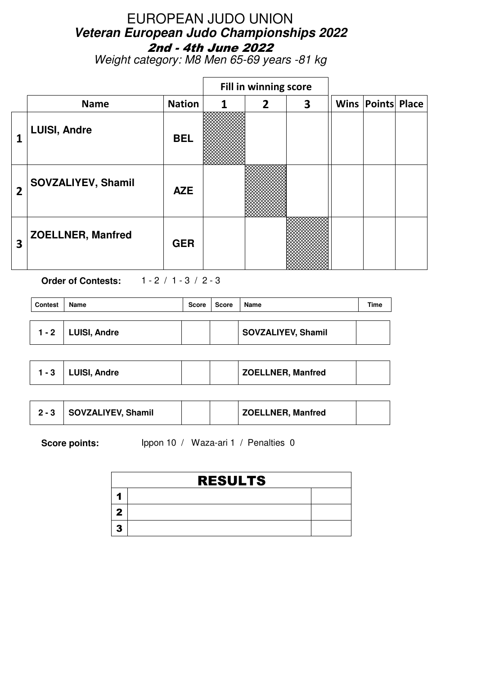Weight category: M8 Men 65-69 years -81 kg

|                |                          |               |   | Fill in winning score |                         |  |                          |  |
|----------------|--------------------------|---------------|---|-----------------------|-------------------------|--|--------------------------|--|
|                | <b>Name</b>              | <b>Nation</b> | 1 | $\overline{2}$        | $\overline{\mathbf{3}}$ |  | <b>Wins Points Place</b> |  |
| 1              | <b>LUISI, Andre</b>      | <b>BEL</b>    |   |                       |                         |  |                          |  |
| $\overline{2}$ | SOVZALIYEV, Shamil       | <b>AZE</b>    |   |                       |                         |  |                          |  |
| 3              | <b>ZOELLNER, Manfred</b> | <b>GER</b>    |   |                       |                         |  |                          |  |

**Order of Contests:** 1 - 2 / 1 - 3 / 2 - 3

| <b>Contest</b> | Name                 | Score | Score | Name               | Time |
|----------------|----------------------|-------|-------|--------------------|------|
|                | $1 - 2$ LUISI, Andre |       |       | SOVZALIYEV, Shamil |      |

|  | $1 - 3$ LUISI, Andre |  |  | <b>ZOELLNER, Manfred</b> |  |
|--|----------------------|--|--|--------------------------|--|
|--|----------------------|--|--|--------------------------|--|

| $2 - 3$ | SOVZALIYEV, Shamil |  |  | <b>ZOELLNER, Manfred</b> |  |
|---------|--------------------|--|--|--------------------------|--|
|---------|--------------------|--|--|--------------------------|--|

|    | <b>RESULTS</b> |  |  |  |  |  |  |
|----|----------------|--|--|--|--|--|--|
|    |                |  |  |  |  |  |  |
|    |                |  |  |  |  |  |  |
| 49 |                |  |  |  |  |  |  |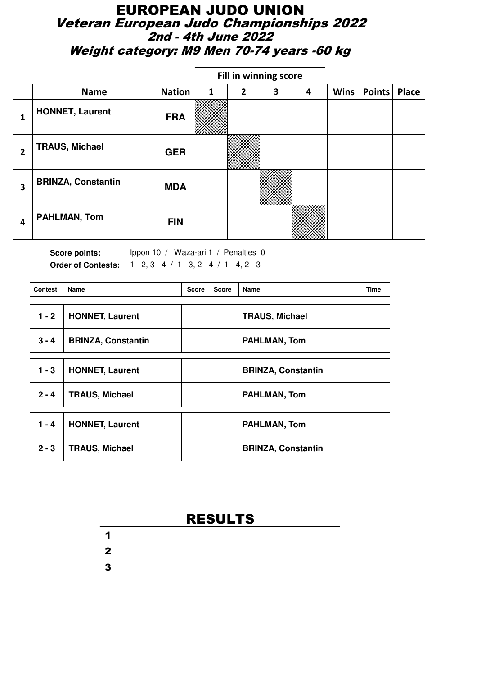#### EUROPEAN JUDO UNION Veteran European Judo Championships 2022 2nd - 4th June 2022 Weight category: M9 Men 70-74 years -60 kg

|   |                           |               | Fill in winning score |              |   |   |             |        |       |
|---|---------------------------|---------------|-----------------------|--------------|---|---|-------------|--------|-------|
|   | <b>Name</b>               | <b>Nation</b> | 1                     | $\mathbf{2}$ | 3 | 4 | <b>Wins</b> | Points | Place |
| 1 | <b>HONNET, Laurent</b>    | <b>FRA</b>    |                       |              |   |   |             |        |       |
| 2 | <b>TRAUS, Michael</b>     | <b>GER</b>    |                       |              |   |   |             |        |       |
| 3 | <b>BRINZA, Constantin</b> | <b>MDA</b>    |                       |              |   |   |             |        |       |
| 4 | <b>PAHLMAN, Tom</b>       | <b>FIN</b>    |                       |              |   |   |             |        |       |

Score points: Ippon 10 / Waza-ari 1 / Penalties 0 **Order of Contests:** 1 - 2, 3 - 4 / 1 - 3, 2 - 4 / 1 - 4, 2 - 3

| <b>Contest</b> | <b>Name</b>               | <b>Score</b> | <b>Score</b> | Name                      | Time |
|----------------|---------------------------|--------------|--------------|---------------------------|------|
| $1 - 2$        | <b>HONNET, Laurent</b>    |              |              | <b>TRAUS, Michael</b>     |      |
| $3 - 4$        | <b>BRINZA, Constantin</b> |              |              | <b>PAHLMAN, Tom</b>       |      |
| $1 - 3$        | <b>HONNET, Laurent</b>    |              |              | <b>BRINZA, Constantin</b> |      |
| $2 - 4$        | <b>TRAUS, Michael</b>     |              |              | PAHLMAN, Tom              |      |
| $1 - 4$        | <b>HONNET, Laurent</b>    |              |              | <b>PAHLMAN, Tom</b>       |      |
| $2 - 3$        | <b>TRAUS, Michael</b>     |              |              | <b>BRINZA, Constantin</b> |      |

| <b>RESULTS</b> |  |  |  |  |  |  |
|----------------|--|--|--|--|--|--|
|                |  |  |  |  |  |  |
|                |  |  |  |  |  |  |
|                |  |  |  |  |  |  |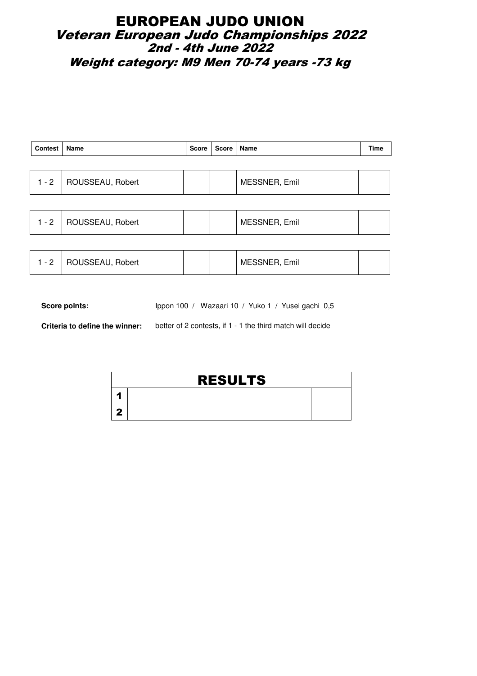### EUROPEAN JUDO UNION Veteran European Judo Championships 2022 2nd - 4th June 2022 Weight category: M9 Men 70-74 years -73 kg

| Contest   Name           |  | Score   Score   Name |               | Time |
|--------------------------|--|----------------------|---------------|------|
|                          |  |                      |               |      |
| 1 - 2   ROUSSEAU, Robert |  |                      | MESSNER, Emil |      |

| MESSNER, Emil<br>ROUSSEAU, Robert<br>$-2$ |  |
|-------------------------------------------|--|
|-------------------------------------------|--|

|  | ROUSSEAU, Robert |  |  | MESSNER, Emil |  |
|--|------------------|--|--|---------------|--|
|--|------------------|--|--|---------------|--|

Score points: Ippon 100 / Wazaari 10 / Yuko 1 / Yusei gachi 0,5

**Criteria to define the winner:** better of 2 contests, if 1 - 1 the third match will decide

| <b>RESULTS</b> |  |  |  |  |  |  |
|----------------|--|--|--|--|--|--|
|                |  |  |  |  |  |  |
|                |  |  |  |  |  |  |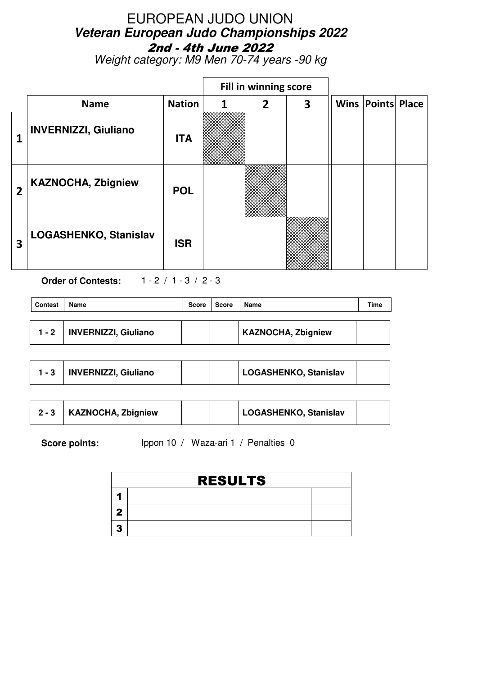Weight category: M9 Men 70-74 years -90 kg

|                |                              |               |   | Fill in winning score |   |      |                     |  |
|----------------|------------------------------|---------------|---|-----------------------|---|------|---------------------|--|
|                | <b>Name</b>                  | <b>Nation</b> | 1 | $\overline{2}$        | 3 | Wins | <b>Points Place</b> |  |
| 1              | <b>INVERNIZZI, Giuliano</b>  | <b>ITA</b>    |   |                       |   |      |                     |  |
| $\overline{2}$ | <b>KAZNOCHA, Zbigniew</b>    | <b>POL</b>    |   |                       |   |      |                     |  |
| 3              | <b>LOGASHENKO, Stanislav</b> | <b>ISR</b>    |   |                       |   |      |                     |  |

**Order of Contests:** 1 - 2 / 1 - 3 / 2 - 3

| <b>Contest</b> | Name                        | <b>Score</b> | Score | Name                      | Time |
|----------------|-----------------------------|--------------|-------|---------------------------|------|
|                |                             |              |       |                           |      |
| $1 - 2$        | <b>INVERNIZZI, Giuliano</b> |              |       | <b>KAZNOCHA, Zbigniew</b> |      |

|  | <b>INVERNIZZI, Giuliano</b> |  |  | LOGASHENKO, Stanislav |  |
|--|-----------------------------|--|--|-----------------------|--|
|--|-----------------------------|--|--|-----------------------|--|

|  | <b>KAZNOCHA, Zbigniew</b> |  |  | LOGASHENKO, Stanislav |  |
|--|---------------------------|--|--|-----------------------|--|
|--|---------------------------|--|--|-----------------------|--|

|    | <b>RESULTS</b> |  |  |  |  |  |
|----|----------------|--|--|--|--|--|
|    |                |  |  |  |  |  |
|    |                |  |  |  |  |  |
| 49 |                |  |  |  |  |  |